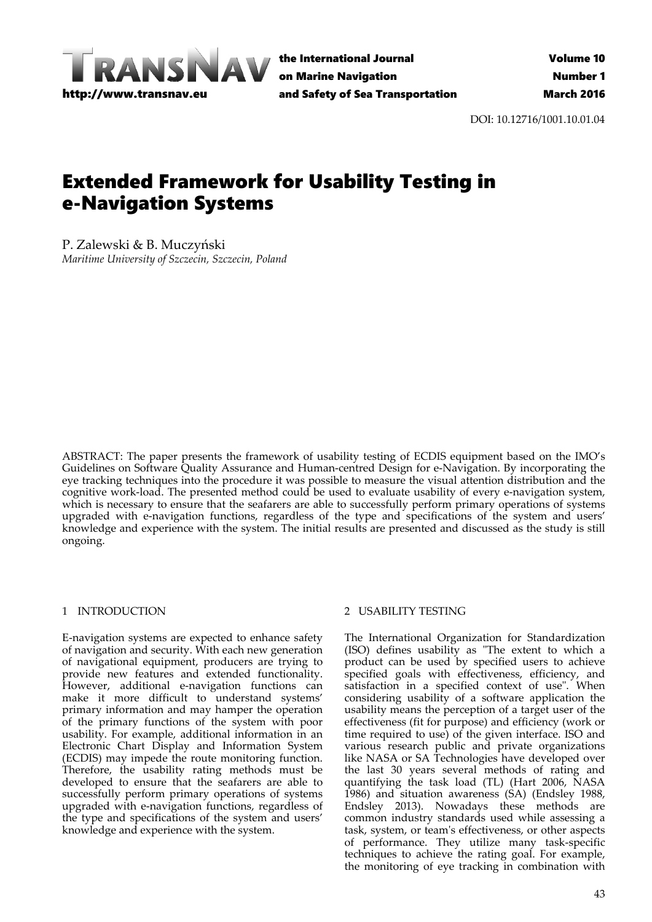

the International Journal on Marine Navigation and Safety of Sea Transportation

DOI: 10.12716/1001.10.01.04

# Extended Framework for Usability Testing in e-Navigation Systems

P. Zalewski & B. Muczyński *Maritime University of Szczecin, Szczecin, Poland*

ABSTRACT: The paper presents the framework of usability testing of ECDIS equipment based on the IMO's Guidelines on Software Quality Assurance and Human-centred Design for e-Navigation. By incorporating the eye tracking techniques into the procedure it was possible to measure the visual attention distribution and the cognitive work‐load. The presented method could be used to evaluate usability of every e‐navigation system, which is necessary to ensure that the seafarers are able to successfully perform primary operations of systems upgraded with e‐navigation functions, regardless of the type and specifications of the system and users' knowledge and experience with the system. The initial results are presented and discussed as the study is still ongoing.

# 1 INTRODUCTION

E‐navigation systems are expected to enhance safety of navigation and security. With each new generation of navigational equipment, producers are trying to provide new features and extended functionality. However, additional e‐navigation functions can make it more difficult to understand systems' primary information and may hamper the operation of the primary functions of the system with poor usability. For example, additional information in an Electronic Chart Display and Information System (ECDIS) may impede the route monitoring function. Therefore, the usability rating methods must be developed to ensure that the seafarers are able to successfully perform primary operations of systems upgraded with e‐navigation functions, regardless of the type and specifications of the system and users' knowledge and experience with the system.

# 2 USABILITY TESTING

The International Organization for Standardization (ISO) defines usability as "The extent to which a product can be used by specified users to achieve specified goals with effectiveness, efficiency, and satisfaction in a specified context of use". When considering usability of a software application the usability means the perception of a target user of the effectiveness (fit for purpose) and efficiency (work or time required to use) of the given interface. ISO and various research public and private organizations like NASA or SA Technologies have developed over the last 30 years several methods of rating and quantifying the task load (TL) (Hart 2006, NASA 1986) and situation awareness (SA) (Endsley 1988, Endsley 2013). Nowadays these methods are common industry standards used while assessing a task, system, or teamʹs effectiveness, or other aspects of performance. They utilize many task‐specific techniques to achieve the rating goal. For example, the monitoring of eye tracking in combination with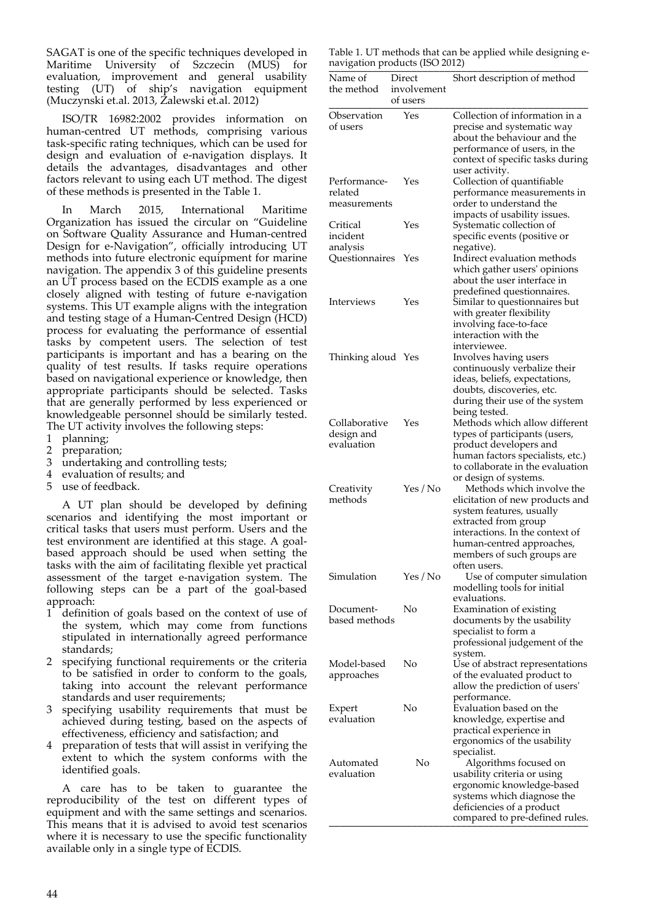SAGAT is one of the specific techniques developed in Maritime University of Szczecin (MUS) for evaluation, improvement and general usability testing (UT) of ship's navigation equipment (Muczynski et.al. 2013, Zalewski et.al. 2012)

ISO/TR 16982:2002 provides information on human‐centred UT methods, comprising various task‐specific rating techniques, which can be used for design and evaluation of e‐navigation displays. It details the advantages, disadvantages and other factors relevant to using each UT method. The digest of these methods is presented in the Table 1.

In March 2015, International Maritime Organization has issued the circular on "Guideline on Software Quality Assurance and Human‐centred Design for e‐Navigation", officially introducing UT methods into future electronic equipment for marine navigation. The appendix 3 of this guideline presents an UT process based on the ECDIS example as a one closely aligned with testing of future e‐navigation systems. This UT example aligns with the integration and testing stage of a Human‐Centred Design (HCD) process for evaluating the performance of essential tasks by competent users. The selection of test participants is important and has a bearing on the quality of test results. If tasks require operations based on navigational experience or knowledge, then appropriate participants should be selected. Tasks that are generally performed by less experienced or knowledgeable personnel should be similarly tested. The UT activity involves the following steps:

- 1 planning;
- 2 preparation;
- 3 undertaking and controlling tests;
- 4 evaluation of results; and
- 5 use of feedback.

A UT plan should be developed by defining scenarios and identifying the most important or critical tasks that users must perform. Users and the test environment are identified at this stage. A goalbased approach should be used when setting the tasks with the aim of facilitating flexible yet practical assessment of the target e‐navigation system. The following steps can be a part of the goal-based approach:

- 1 definition of goals based on the context of use of the system, which may come from functions stipulated in internationally agreed performance standards;
- 2 specifying functional requirements or the criteria to be satisfied in order to conform to the goals, taking into account the relevant performance standards and user requirements;
- specifying usability requirements that must be achieved during testing, based on the aspects of effectiveness, efficiency and satisfaction; and
- 4 preparation of tests that will assist in verifying the extent to which the system conforms with the identified goals.

A care has to be taken to guarantee the reproducibility of the test on different types of equipment and with the same settings and scenarios. This means that it is advised to avoid test scenarios where it is necessary to use the specific functionality available only in a single type of ECDIS.

Table 1. UT methods that can be applied while designing e‐ navigation products (ISO 2012)

| navization products (190 2012) |                                   |                                                    |
|--------------------------------|-----------------------------------|----------------------------------------------------|
| Name of<br>the method          | Direct<br>involvement<br>of users | Short description of method                        |
|                                | Yes                               | Collection of information in a                     |
| Observation<br>of users        |                                   | precise and systematic way                         |
|                                |                                   | about the behaviour and the                        |
|                                |                                   | performance of users, in the                       |
|                                |                                   | context of specific tasks during                   |
|                                |                                   | user activity.                                     |
| Performance-                   | Yes                               | Collection of quantifiable                         |
| related                        |                                   | performance measurements in                        |
| measurements                   |                                   | order to understand the                            |
|                                |                                   | impacts of usability issues.                       |
| Critical                       | Yes                               | Systematic collection of                           |
| incident                       |                                   | specific events (positive or                       |
| analysis<br>Questionnaires     | Yes                               | negative).<br>Indirect evaluation methods          |
|                                |                                   | which gather users' opinions                       |
|                                |                                   | about the user interface in                        |
|                                |                                   | predefined questionnaires.                         |
| Interviews                     | Yes                               | Similar to questionnaires but                      |
|                                |                                   | with greater flexibility                           |
|                                |                                   | involving face-to-face                             |
|                                |                                   | interaction with the                               |
|                                |                                   | interviewee.                                       |
| Thinking aloud Yes             |                                   | Involves having users                              |
|                                |                                   | continuously verbalize their                       |
|                                |                                   | ideas, beliefs, expectations,                      |
|                                |                                   | doubts, discoveries, etc.                          |
|                                |                                   | during their use of the system                     |
|                                |                                   | being tested.                                      |
| Collaborative                  | Yes                               | Methods which allow different                      |
| design and                     |                                   | types of participants (users,                      |
| evaluation                     |                                   | product developers and                             |
|                                |                                   | human factors specialists, etc.)                   |
|                                |                                   | to collaborate in the evaluation                   |
| Creativity                     | Yes / No                          | or design of systems.<br>Methods which involve the |
| methods                        |                                   | elicitation of new products and                    |
|                                |                                   | system features, usually                           |
|                                |                                   | extracted from group                               |
|                                |                                   | interactions. In the context of                    |
|                                |                                   | human-centred approaches,                          |
|                                |                                   | members of such groups are                         |
|                                |                                   | often users.                                       |
| Simulation                     | Yes / No                          | Use of computer simulation                         |
|                                |                                   | modelling tools for initial                        |
|                                |                                   | evaluations.                                       |
| Document-                      | No                                | Examination of existing                            |
| based methods                  |                                   | documents by the usability                         |
|                                |                                   | specialist to form a                               |
|                                |                                   | professional judgement of the                      |
| Model-based                    | No                                | system.<br>Use of abstract representations         |
| approaches                     |                                   | of the evaluated product to                        |
|                                |                                   | allow the prediction of users'                     |
|                                |                                   | performance.                                       |
| Expert                         | No                                | Evaluation based on the                            |
| evaluation                     |                                   | knowledge, expertise and                           |
|                                |                                   | practical experience in                            |
|                                |                                   | ergonomics of the usability                        |
|                                |                                   | specialist.                                        |
| Automated                      | No                                | Algorithms focused on                              |
| evaluation                     |                                   | usability criteria or using                        |
|                                |                                   | ergonomic knowledge-based                          |
|                                |                                   | systems which diagnose the                         |
|                                |                                   | deficiencies of a product                          |
|                                |                                   | compared to pre-defined rules.                     |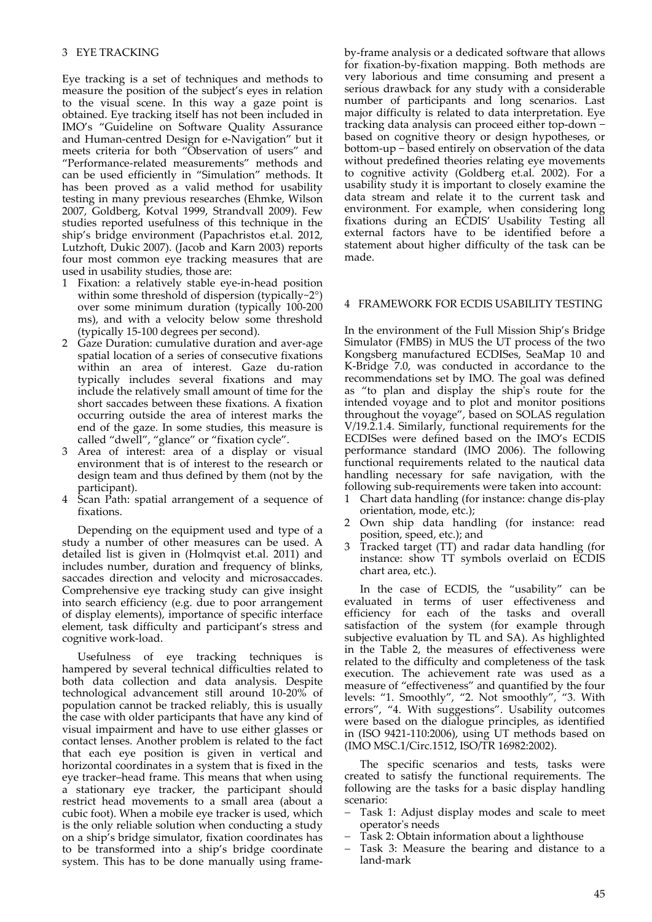Eye tracking is a set of techniques and methods to measure the position of the subject's eyes in relation to the visual scene. In this way a gaze point is obtained. Eye tracking itself has not been included in IMO's "Guideline on Software Quality Assurance and Human‐centred Design for e‐Navigation" but it meets criteria for both "Observation of users" and "Performance‐related measurements" methods and can be used efficiently in "Simulation" methods. It has been proved as a valid method for usability testing in many previous researches (Ehmke, Wilson 2007, Goldberg, Kotval 1999, Strandvall 2009). Few studies reported usefulness of this technique in the ship's bridge environment (Papachristos et.al. 2012, Lutzhoft, Dukic 2007). (Jacob and Karn 2003) reports four most common eye tracking measures that are used in usability studies, those are:

- 1 Fixation: a relatively stable eye‐in‐head position within some threshold of dispersion (typically~2°) over some minimum duration (typically 100‐200 ms), and with a velocity below some threshold (typically 15‐100 degrees per second).
- 2 Gaze Duration: cumulative duration and aver‐age spatial location of a series of consecutive fixations within an area of interest. Gaze du-ration typically includes several fixations and may include the relatively small amount of time for the short saccades between these fixations. A fixation occurring outside the area of interest marks the end of the gaze. In some studies, this measure is called "dwell", "glance" or "fixation cycle".
- 3 Area of interest: area of a display or visual environment that is of interest to the research or design team and thus defined by them (not by the participant).
- 4 Scan Path: spatial arrangement of a sequence of fixations.

Depending on the equipment used and type of a study a number of other measures can be used. A detailed list is given in (Holmqvist et.al. 2011) and includes number, duration and frequency of blinks, saccades direction and velocity and microsaccades. Comprehensive eye tracking study can give insight into search efficiency (e.g. due to poor arrangement of display elements), importance of specific interface element, task difficulty and participant's stress and cognitive work‐load.

Usefulness of eye tracking techniques is hampered by several technical difficulties related to both data collection and data analysis. Despite technological advancement still around 10‐20% of population cannot be tracked reliably, this is usually the case with older participants that have any kind of visual impairment and have to use either glasses or contact lenses. Another problem is related to the fact that each eye position is given in vertical and horizontal coordinates in a system that is fixed in the eye tracker–head frame. This means that when using a stationary eye tracker, the participant should restrict head movements to a small area (about a cubic foot). When a mobile eye tracker is used, which is the only reliable solution when conducting a study on a ship's bridge simulator, fixation coordinates has to be transformed into a ship's bridge coordinate system. This has to be done manually using frame‐

by‐frame analysis or a dedicated software that allows for fixation‐by‐fixation mapping. Both methods are very laborious and time consuming and present a serious drawback for any study with a considerable number of participants and long scenarios. Last major difficulty is related to data interpretation. Eye tracking data analysis can proceed either top‐down − based on cognitive theory or design hypotheses, or bottom‐up − based entirely on observation of the data without predefined theories relating eye movements to cognitive activity (Goldberg et.al. 2002). For a usability study it is important to closely examine the data stream and relate it to the current task and environment. For example, when considering long fixations during an ECDIS' Usability Testing all external factors have to be identified before a statement about higher difficulty of the task can be made.

# 4 FRAMEWORK FOR ECDIS USABILITY TESTING

In the environment of the Full Mission Ship's Bridge Simulator (FMBS) in MUS the UT process of the two Kongsberg manufactured ECDISes, SeaMap 10 and K‐Bridge 7.0, was conducted in accordance to the recommendations set by IMO. The goal was defined as "to plan and display the shipʹs route for the intended voyage and to plot and monitor positions throughout the voyage", based on SOLAS regulation V/19.2.1.4. Similarly, functional requirements for the ECDISes were defined based on the IMO's ECDIS performance standard (IMO 2006). The following functional requirements related to the nautical data handling necessary for safe navigation, with the following sub‐requirements were taken into account:

- 1 Chart data handling (for instance: change dis‐play orientation, mode, etc.);
- 2 Own ship data handling (for instance: read position, speed, etc.); and
- 3 Tracked target (TT) and radar data handling (for instance: show TT symbols overlaid on ECDIS chart area, etc.).

In the case of ECDIS, the "usability" can be evaluated in terms of user effectiveness and efficiency for each of the tasks and overall satisfaction of the system (for example through subjective evaluation by TL and SA). As highlighted in the Table 2, the measures of effectiveness were related to the difficulty and completeness of the task execution. The achievement rate was used as a measure of "effectiveness" and quantified by the four levels: "1. Smoothly", "2. Not smoothly", "3. With errors", "4. With suggestions". Usability outcomes were based on the dialogue principles, as identified in (ISO 9421‐110:2006), using UT methods based on (IMO MSC.1/Circ.1512, ISO/TR 16982:2002).

The specific scenarios and tests, tasks were created to satisfy the functional requirements. The following are the tasks for a basic display handling scenario:

- Task 1: Adjust display modes and scale to meet operatorʹs needs
- Task 2: Obtain information about a lighthouse
- Task 3: Measure the bearing and distance to a land‐mark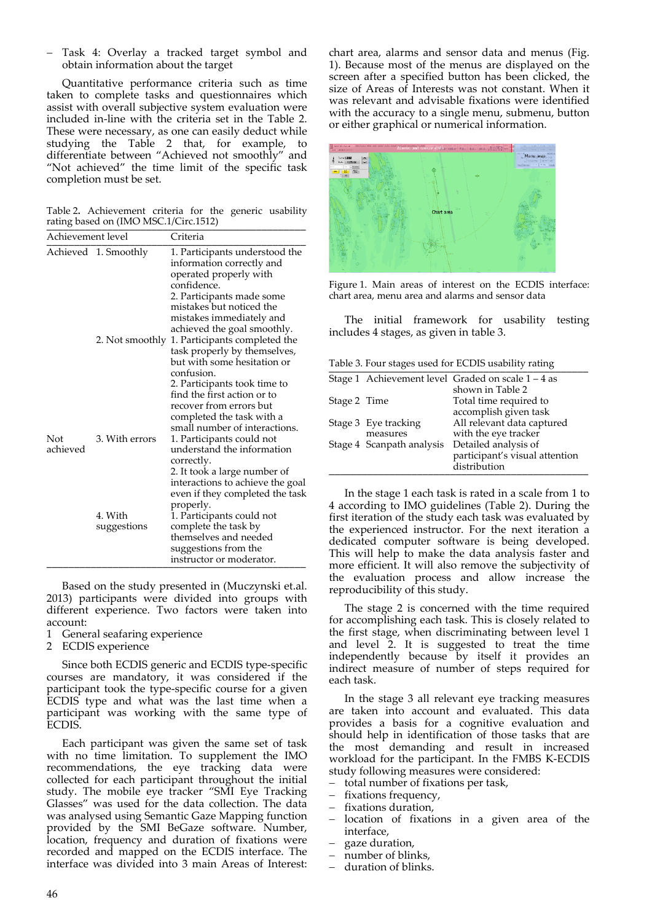Task 4: Overlay a tracked target symbol and obtain information about the target

Quantitative performance criteria such as time taken to complete tasks and questionnaires which assist with overall subjective system evaluation were included in‐line with the criteria set in the Table 2. These were necessary, as one can easily deduct while studying the Table 2 that, for example, to differentiate between "Achieved not smoothly" and "Not achieved" the time limit of the specific task completion must be set.

Table 2**.** Achievement criteria for the generic usability rating based on (IMO MSC.1/Circ.1512)

| Achievement level |                        | Criteria                                                                                                                                                                                                                                                           |
|-------------------|------------------------|--------------------------------------------------------------------------------------------------------------------------------------------------------------------------------------------------------------------------------------------------------------------|
|                   | Achieved 1. Smoothly   | 1. Participants understood the<br>information correctly and<br>operated properly with<br>confidence.<br>2. Participants made some<br>mistakes but noticed the<br>mistakes immediately and<br>achieved the goal smoothly.                                           |
|                   | 2. Not smoothly        | 1. Participants completed the<br>task properly by themselves,<br>but with some hesitation or<br>confusion.<br>2. Participants took time to<br>find the first action or to<br>recover from errors but<br>completed the task with a<br>small number of interactions. |
| Not<br>achieved   | 3. With errors         | 1. Participants could not<br>understand the information<br>correctly.<br>2. It took a large number of<br>interactions to achieve the goal<br>even if they completed the task<br>properly.                                                                          |
|                   | 4. With<br>suggestions | 1. Participants could not<br>complete the task by<br>themselves and needed<br>suggestions from the<br>instructor or moderator.                                                                                                                                     |

Based on the study presented in (Muczynski et.al. 2013) participants were divided into groups with different experience. Two factors were taken into account:

- 1 General seafaring experience
- 2 ECDIS experience

Since both ECDIS generic and ECDIS type-specific courses are mandatory, it was considered if the participant took the type‐specific course for a given ECDIS type and what was the last time when a participant was working with the same type of ECDIS.

Each participant was given the same set of task with no time limitation. To supplement the IMO recommendations, the eye tracking data were collected for each participant throughout the initial study. The mobile eye tracker "SMI Eye Tracking Glasses" was used for the data collection. The data was analysed using Semantic Gaze Mapping function provided by the SMI BeGaze software. Number, location, frequency and duration of fixations were recorded and mapped on the ECDIS interface. The interface was divided into 3 main Areas of Interest:

chart area, alarms and sensor data and menus (Fig. 1). Because most of the menus are displayed on the screen after a specified button has been clicked, the size of Areas of Interests was not constant. When it was relevant and advisable fixations were identified with the accuracy to a single menu, submenu, button or either graphical or numerical information.



Figure 1. Main areas of interest on the ECDIS interface: chart area, menu area and alarms and sensor data

The initial framework for usability testing includes 4 stages, as given in table 3.

Table 3. Four stages used for ECDIS usability rating

|              |                                  | Stage 1 Achievement level Graded on scale 1 – 4 as<br>shown in Table 2 |
|--------------|----------------------------------|------------------------------------------------------------------------|
| Stage 2 Time |                                  | Total time required to                                                 |
|              |                                  | accomplish given task                                                  |
|              | Stage 3 Eye tracking<br>measures | All relevant data captured<br>with the eye tracker                     |
|              | Stage 4 Scanpath analysis        | Detailed analysis of<br>participant's visual attention<br>distribution |

In the stage 1 each task is rated in a scale from 1 to 4 according to IMO guidelines (Table 2). During the first iteration of the study each task was evaluated by the experienced instructor. For the next iteration a dedicated computer software is being developed. This will help to make the data analysis faster and more efficient. It will also remove the subjectivity of the evaluation process and allow increase the reproducibility of this study.

The stage 2 is concerned with the time required for accomplishing each task. This is closely related to the first stage, when discriminating between level 1 and level 2. It is suggested to treat the time independently because by itself it provides an indirect measure of number of steps required for each task.

In the stage 3 all relevant eye tracking measures are taken into account and evaluated. This data provides a basis for a cognitive evaluation and should help in identification of those tasks that are the most demanding and result in increased workload for the participant. In the FMBS K‐ECDIS study following measures were considered:

- total number of fixations per task,
- fixations frequency,
- fixations duration,
- location of fixations in a given area of the interface,
- gaze duration,
- number of blinks,
- duration of blinks.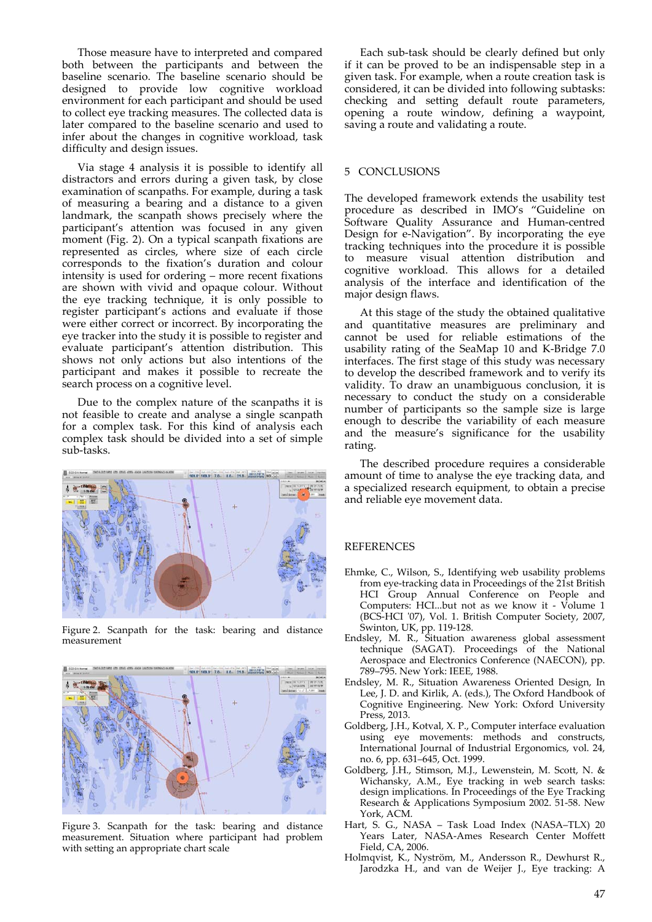Those measure have to interpreted and compared both between the participants and between the baseline scenario. The baseline scenario should be designed to provide low cognitive workload environment for each participant and should be used to collect eye tracking measures. The collected data is later compared to the baseline scenario and used to infer about the changes in cognitive workload, task difficulty and design issues.

Via stage 4 analysis it is possible to identify all distractors and errors during a given task, by close examination of scanpaths. For example, during a task of measuring a bearing and a distance to a given landmark, the scanpath shows precisely where the participant's attention was focused in any given moment (Fig. 2). On a typical scanpath fixations are represented as circles, where size of each circle corresponds to the fixation's duration and colour intensity is used for ordering – more recent fixations are shown with vivid and opaque colour. Without the eye tracking technique, it is only possible to register participant's actions and evaluate if those were either correct or incorrect. By incorporating the eye tracker into the study it is possible to register and evaluate participant's attention distribution. This shows not only actions but also intentions of the participant and makes it possible to recreate the search process on a cognitive level.

Due to the complex nature of the scanpaths it is not feasible to create and analyse a single scanpath for a complex task. For this kind of analysis each complex task should be divided into a set of simple sub‐tasks.



Figure 2. Scanpath for the task: bearing and distance measurement



Figure 3. Scanpath for the task: bearing and distance measurement. Situation where participant had problem with setting an appropriate chart scale

Each sub‐task should be clearly defined but only if it can be proved to be an indispensable step in a given task. For example, when a route creation task is considered, it can be divided into following subtasks: checking and setting default route parameters, opening a route window, defining a waypoint, saving a route and validating a route.

#### 5 CONCLUSIONS

The developed framework extends the usability test procedure as described in IMO's "Guideline on Software Quality Assurance and Human‐centred Design for e‐Navigation". By incorporating the eye tracking techniques into the procedure it is possible to measure visual attention distribution and cognitive workload. This allows for a detailed analysis of the interface and identification of the major design flaws.

At this stage of the study the obtained qualitative and quantitative measures are preliminary and cannot be used for reliable estimations of the usability rating of the SeaMap 10 and K‐Bridge 7.0 interfaces. The first stage of this study was necessary to develop the described framework and to verify its validity. To draw an unambiguous conclusion, it is necessary to conduct the study on a considerable number of participants so the sample size is large enough to describe the variability of each measure and the measure's significance for the usability rating.

The described procedure requires a considerable amount of time to analyse the eye tracking data, and a specialized research equipment, to obtain a precise and reliable eye movement data.

# **REFERENCES**

- Ehmke, C., Wilson, S., Identifying web usability problems from eye-tracking data in Proceedings of the 21st British HCI Group Annual Conference on People and Computers: HCI...but not as we know it - Volume 1 (BCS-HCI '07), Vol. 1. British Computer Society, 2007, Swinton, UK, pp. 119‐128.
- Endsley, M. R., Situation awareness global assessment technique (SAGAT). Proceedings of the National Aerospace and Electronics Conference (NAECON), pp. 789–795. New York: IEEE, 1988.
- Endsley, M. R., Situation Awareness Oriented Design, In Lee, J. D. and Kirlik, A. (eds.), The Oxford Handbook of Cognitive Engineering. New York: Oxford University Press, 2013.
- Goldberg, J.H., Kotval, X. P., Computer interface evaluation using eye movements: methods and constructs, International Journal of Industrial Ergonomics, vol. 24, no. 6, pp. 631–645, Oct. 1999.
- Goldberg, J.H., Stimson, M.J., Lewenstein, M. Scott, N. & Wichansky, A.M., Eye tracking in web search tasks: design implications. In Proceedings of the Eye Tracking Research & Applications Symposium 2002. 51‐58. New York, ACM.
- Hart, S. G., NASA Task Load Index (NASA–TLX) 20 Years Later, NASA‐Ames Research Center Moffett Field, CA, 2006.
- Holmqvist, K., Nyström, M., Andersson R., Dewhurst R., Jarodzka H., and van de Weijer J., Eye tracking: A